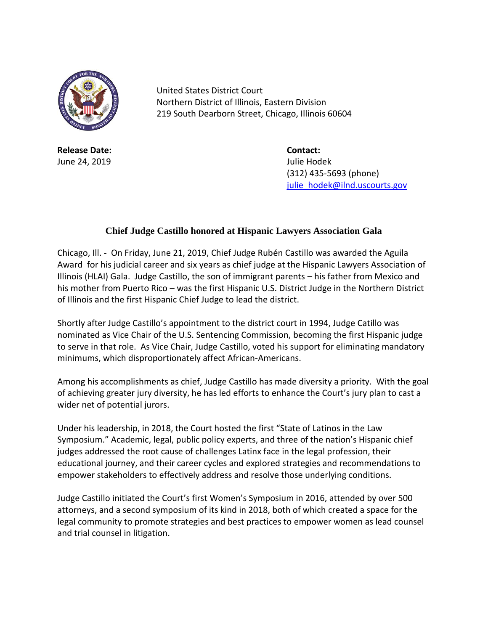

**Release Date: Contact:** June 24, 2019 Julie Hodek

United States District Court Northern District of Illinois, Eastern Division 219 South Dearborn Street, Chicago, Illinois 60604

> (312) 435-5693 (phone) [julie\\_hodek@ilnd.uscourts.gov](mailto:julie_hodek@ilnd.uscourts.gov)

## **Chief Judge Castillo honored at Hispanic Lawyers Association Gala**

Chicago, Ill. - On Friday, June 21, 2019, Chief Judge Rubén Castillo was awarded the Aguila Award for his judicial career and six years as chief judge at the Hispanic Lawyers Association of Illinois (HLAI) Gala. Judge Castillo, the son of immigrant parents – his father from Mexico and his mother from Puerto Rico – was the first Hispanic U.S. District Judge in the Northern District of Illinois and the first Hispanic Chief Judge to lead the district.

Shortly after Judge Castillo's appointment to the district court in 1994, Judge Catillo was nominated as Vice Chair of the U.S. Sentencing Commission, becoming the first Hispanic judge to serve in that role. As Vice Chair, Judge Castillo, voted his support for eliminating mandatory minimums, which disproportionately affect African-Americans.

Among his accomplishments as chief, Judge Castillo has made diversity a priority. With the goal of achieving greater jury diversity, he has led efforts to enhance the Court's jury plan to cast a wider net of potential jurors.

Under his leadership, in 2018, the Court hosted the first "State of Latinos in the Law Symposium." Academic, legal, public policy experts, and three of the nation's Hispanic chief judges addressed the root cause of challenges Latinx face in the legal profession, their educational journey, and their career cycles and explored strategies and recommendations to empower stakeholders to effectively address and resolve those underlying conditions.

Judge Castillo initiated the Court's first Women's Symposium in 2016, attended by over 500 attorneys, and a second symposium of its kind in 2018, both of which created a space for the legal community to promote strategies and best practices to empower women as lead counsel and trial counsel in litigation.